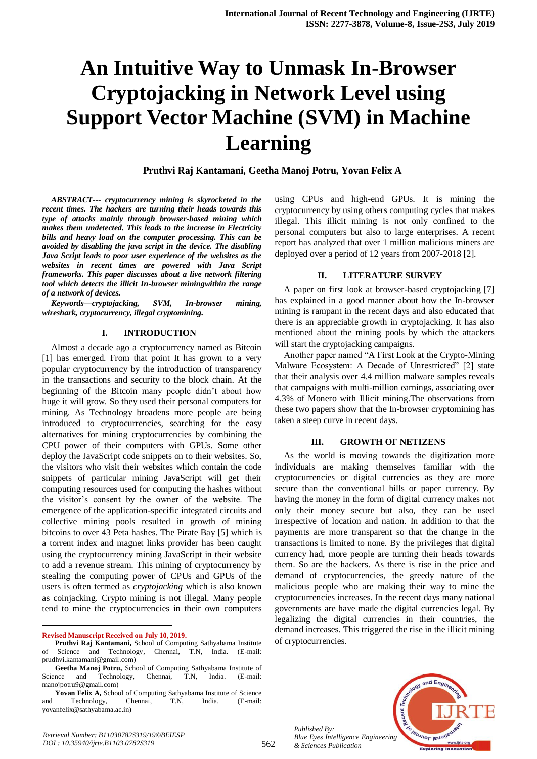# **An Intuitive Way to Unmask In-Browser Cryptojacking in Network Level using Support Vector Machine (SVM) in Machine Learning**

**Pruthvi Raj Kantamani, Geetha Manoj Potru, Yovan Felix A** 

*ABSTRACT--- cryptocurrency mining is skyrocketed in the recent times. The hackers are turning their heads towards this type of attacks mainly through browser-based mining which makes them undetected. This leads to the increase in Electricity bills and heavy load on the computer processing. This can be avoided by disabling the java script in the device. The disabling Java Script leads to poor user experience of the websites as the websites in recent times are powered with Java Script frameworks. This paper discusses about a live network filtering tool which detects the illicit In-browser miningwithin the range of a network of devices.*

*Keywords—cryptojacking, SVM, In-browser mining, wireshark, cryptocurrency, illegal cryptomining.*

#### **I. INTRODUCTION**

Almost a decade ago a cryptocurrency named as Bitcoin [1] has emerged. From that point It has grown to a very popular cryptocurrency by the introduction of transparency in the transactions and security to the block chain. At the beginning of the Bitcoin many people didn't about how huge it will grow. So they used their personal computers for mining. As Technology broadens more people are being introduced to cryptocurrencies, searching for the easy alternatives for mining cryptocurrencies by combining the CPU power of their computers with GPUs. Some other deploy the JavaScript code snippets on to their websites. So, the visitors who visit their websites which contain the code snippets of particular mining JavaScript will get their computing resources used for computing the hashes without the visitor's consent by the owner of the website. The emergence of the application-specific integrated circuits and collective mining pools resulted in growth of mining bitcoins to over 43 Peta hashes. The Pirate Bay [5] which is a torrent index and magnet links provider has been caught using the cryptocurrency mining JavaScript in their website to add a revenue stream. This mining of cryptocurrency by stealing the computing power of CPUs and GPUs of the users is often termed as *cryptojacking* which is also known as coinjacking*.* Crypto mining is not illegal. Many people tend to mine the cryptocurrencies in their own computers

 $\ddot{\phantom{a}}$ **Revised Manuscript Received on July 10, 2019.** using CPUs and high-end GPUs. It is mining the cryptocurrency by using others computing cycles that makes illegal. This illicit mining is not only confined to the personal computers but also to large enterprises. A recent report has analyzed that over 1 million malicious miners are deployed over a period of 12 years from 2007-2018 [2].

#### **II. LITERATURE SURVEY**

A paper on first look at browser-based cryptojacking [7] has explained in a good manner about how the In-browser mining is rampant in the recent days and also educated that there is an appreciable growth in cryptojacking. It has also mentioned about the mining pools by which the attackers will start the cryptojacking campaigns.

Another paper named "A First Look at the Crypto-Mining Malware Ecosystem: A Decade of Unrestricted" [2] state that their analysis over 4.4 million malware samples reveals that campaigns with multi-million earnings, associating over 4.3% of Monero with Illicit mining.The observations from these two papers show that the In-browser cryptomining has taken a steep curve in recent days.

#### **III. GROWTH OF NETIZENS**

As the world is moving towards the digitization more individuals are making themselves familiar with the cryptocurrencies or digital currencies as they are more secure than the conventional bills or paper currency. By having the money in the form of digital currency makes not only their money secure but also, they can be used irrespective of location and nation. In addition to that the payments are more transparent so that the change in the transactions is limited to none. By the privileges that digital currency had, more people are turning their heads towards them. So are the hackers. As there is rise in the price and demand of cryptocurrencies, the greedy nature of the malicious people who are making their way to mine the cryptocurrencies increases. In the recent days many national governments are have made the digital currencies legal. By legalizing the digital currencies in their countries, the demand increases. This triggered the rise in the illicit mining of cryptocurrencies.





**Pruthvi Raj Kantamani,** School of Computing Sathyabama Institute Science and Technology, Chennai, T.N, India. (E-mail: Science and Technology, Chennai, T.N, India. (E-mail: prudhvi.kantamani@gmail.com)

**Geetha Manoj Potru,** School of Computing Sathyabama Institute of Science and Technology, Chennai, T.N, India. (E-mail: manojpotru9@gmail.com)

**Yovan Felix A,** School of Computing Sathyabama Institute of Science and Technology, Chennai, T.N, India. (E-mail: yovanfelix@sathyabama.ac.in)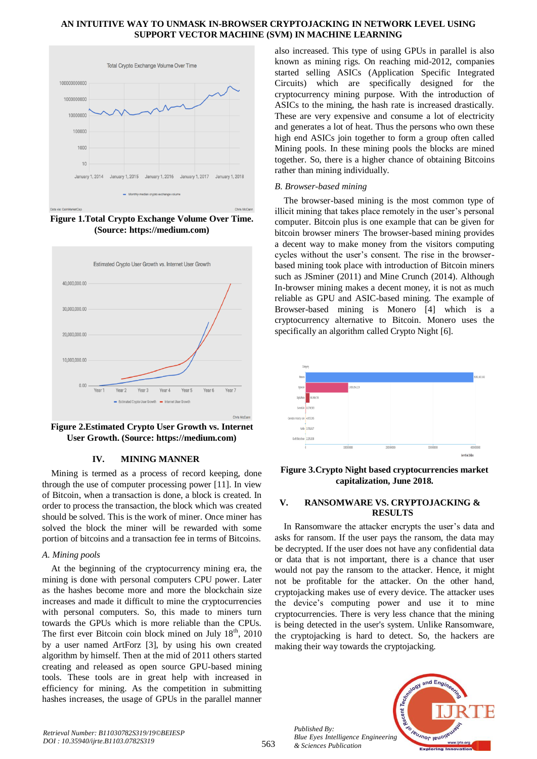#### **AN INTUITIVE WAY TO UNMASK IN-BROWSER CRYPTOJACKING IN NETWORK LEVEL USING SUPPORT VECTOR MACHINE (SVM) IN MACHINE LEARNING**



**Figure 1.Total Crypto Exchange Volume Over Time. (Source: [https://medium.com\)](https://medium.com/)**



**Figure 2.Estimated Crypto User Growth vs. Internet User Growth. (Source: https://medium.com)**

## **IV. MINING MANNER**

Mining is termed as a process of record keeping, done through the use of computer processing power [11]. In view of Bitcoin, when a transaction is done, a block is created. In order to process the transaction, the block which was created should be solved. This is the work of miner. Once miner has solved the block the miner will be rewarded with some portion of bitcoins and a transaction fee in terms of Bitcoins.

## *A. Mining pools*

At the beginning of the cryptocurrency mining era, the mining is done with personal computers CPU power. Later as the hashes become more and more the blockchain size increases and made it difficult to mine the cryptocurrencies with personal computers. So, this made to miners turn towards the GPUs which is more reliable than the CPUs. The first ever Bitcoin coin block mined on July  $18<sup>th</sup>$ , 2010 by a user named ArtForz [3], by using his own created algorithm by himself. Then at the mid of 2011 others started creating and released as open source GPU-based mining tools. These tools are in great help with increased in efficiency for mining. As the competition in submitting hashes increases, the usage of GPUs in the parallel manner

also increased. This type of using GPUs in parallel is also known as mining rigs. On reaching mid-2012, companies started selling ASICs (Application Specific Integrated Circuits) which are specifically designed for the cryptocurrency mining purpose. With the introduction of ASICs to the mining, the hash rate is increased drastically. These are very expensive and consume a lot of electricity and generates a lot of heat. Thus the persons who own these high end ASICs join together to form a group often called Mining pools. In these mining pools the blocks are mined together. So, there is a higher chance of obtaining Bitcoins rather than mining individually.

## *B. Browser-based mining*

The browser-based mining is the most common type of illicit mining that takes place remotely in the user's personal computer. Bitcoin plus is one example that can be given for bitcoin browser miners. The browser-based mining provides a decent way to make money from the visitors computing cycles without the user's consent. The rise in the browserbased mining took place with introduction of Bitcoin miners such as JSminer (2011) and Mine Crunch (2014). Although In-browser mining makes a decent money, it is not as much reliable as GPU and ASIC-based mining. The example of Browser-based mining is Monero [4] which is a cryptocurrency alternative to Bitcoin. Monero uses the specifically an algorithm called Crypto Night [6].



**Figure 3.Crypto Night based cryptocurrencies market capitalization, June 2018.**

## **V. RANSOMWARE VS. CRYPTOJACKING & RESULTS**

In Ransomware the attacker encrypts the user's data and asks for ransom. If the user pays the ransom, the data may be decrypted. If the user does not have any confidential data or data that is not important, there is a chance that user would not pay the ransom to the attacker. Hence, it might not be profitable for the attacker. On the other hand, cryptojacking makes use of every device. The attacker uses the device's computing power and use it to mine cryptocurrencies. There is very less chance that the mining is being detected in the user's system. Unlike Ransomware, the cryptojacking is hard to detect. So, the hackers are making their way towards the cryptojacking.



and Eng

*Retrieval Number: B11030782S319/19©BEIESP DOI : 10.35940/ijrte.B1103.0782S319*

*Published By:*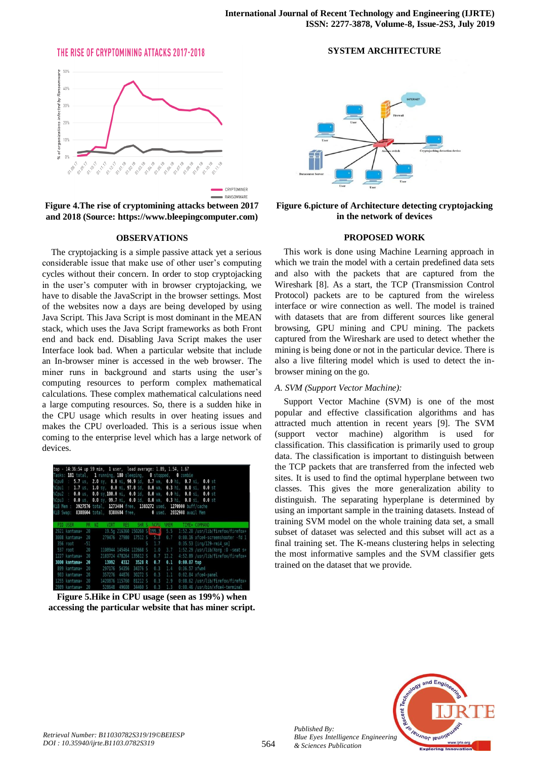## THE RISE OF CRYPTOMINING ATTACKS 2017-2018



**Figure 4.The rise of cryptomining attacks between 2017 and 2018 (Source[: https://www.bleepingcomputer.com\)](https://www.bleepingcomputer.com/)**

#### **OBSERVATIONS**

The cryptojacking is a simple passive attack yet a serious considerable issue that make use of other user's computing cycles without their concern. In order to stop cryptojacking in the user's computer with in browser cryptojacking, we have to disable the JavaScript in the browser settings. Most of the websites now a days are being developed by using Java Script. This Java Script is most dominant in the MEAN stack, which uses the Java Script frameworks as both Front end and back end. Disabling Java Script makes the user Interface look bad. When a particular website that include an In-browser miner is accessed in the web browser. The miner runs in background and starts using the user's computing resources to perform complex mathematical calculations. These complex mathematical calculations need a large computing resources. So, there is a sudden hike in the CPU usage which results in over heating issues and makes the CPU overloaded. This is a serious issue when coming to the enterprise level which has a large network of devices.

| top - 14:36:54 up 59 min, 1 user, load average: 1.89, 1.54, 1.67        |             |                                |  |                                                                                    |
|-------------------------------------------------------------------------|-------------|--------------------------------|--|------------------------------------------------------------------------------------|
| Tasks: 181 total, 1 running, 180 sleeping, 0 stopped, 0 zombie          |             |                                |  |                                                                                    |
|                                                                         |             |                                |  | %Cpu0 : 5.7 us, 2.0 sy, 0.0 ni, 90.9 id, 0.7 wa, 0.0 hi, 0.7 si, 0.0 st            |
|                                                                         |             |                                |  | %Cpul : 1.7 us, 1.0 sy, 0.0 ni, 97.0 id, 0.0 wa, 0.3 hi, 0.0 si, 0.0 st            |
|                                                                         |             |                                |  | %Cpu2 : 0.0 us, 0.0 sy,100.0 ni, 0.0 id, 0.0 wa, 0.0 hi, 0.0 si, 0.0 st            |
|                                                                         |             |                                |  | %Cpu3 : 0.0 us, 0.0 sy, 99.7 ni, 0.0 id, 0.0 wa, 0.3 hi, 0.0 si, 0.0 st            |
| KiB Mem : 3927576 total, 1273404 free, 1383272 used, 1270900 buff/cache |             |                                |  |                                                                                    |
| KiB Swap: 8388604 total, 8388604 free, 0 used. 2032908 avail Mem        |             |                                |  |                                                                                    |
|                                                                         |             |                                |  |                                                                                    |
| PID USER PR NI VIRT RES SHR S &CPU &MEM TIME+ COMMAND                   |             |                                |  |                                                                                    |
|                                                                         |             |                                |  | 2921 kantama+ 20 19.5g 216360 150260 S 199.3 5.5 1:52.20 /usr/lib/firefox/firefox+ |
| 3008 kantama+ 20 279476 27980 17512 S 5.3 0.7                           |             |                                |  | 0:00.16 xfce4-screenshooter -fd 1                                                  |
| 356 root                                                                | $-51$ S 1.7 |                                |  | $0:35.53$ [irg/129-rmi4 sm]                                                        |
| 537 root 20                                                             |             |                                |  | 1108944 145464 122668 S 1.0 3.7 1:52.29 /usr/lib/Xorg :0 -seat s+                  |
| 1227 kantama+ 20                                                        |             |                                |  | 2183724 478264 135612 S 0.7 12.2 4:52.89 /usr/lib/firefox/firefox+                 |
|                                                                         |             |                                |  | $0.00.07$ top                                                                      |
| 899 kantama+ 20                                                         |             | 297176 54356 34376 S 0.3 1.4   |  | $0:36.57$ xfwm4                                                                    |
| 903 kantama+ 20                                                         |             |                                |  | 357276 44876 30272 S 0.3 1.1 0:02.84 xfce4-panel                                   |
| 1255 kantama+ 20                                                        |             | 1420876 115760 81212 5 0.3 2.9 |  | 0:08.62 /usr/lib/firefox/firefox+                                                  |
| 2989 kantama+ 20                                                        |             |                                |  | 528648 49608 34460 S 0.3 1.3 0:00.46 /usr/bin/xfce4-terminal                       |

**Figure 5.Hike in CPU usage (seen as 199%) when accessing the particular website that has miner script.**



**SYSTEM ARCHITECTURE**

**Figure 6.picture of Architecture detecting cryptojacking in the network of devices**

#### **PROPOSED WORK**

This work is done using Machine Learning approach in which we train the model with a certain predefined data sets and also with the packets that are captured from the Wireshark [8]. As a start, the TCP (Transmission Control Protocol) packets are to be captured from the wireless interface or wire connection as well. The model is trained with datasets that are from different sources like general browsing, GPU mining and CPU mining. The packets captured from the Wireshark are used to detect whether the mining is being done or not in the particular device. There is also a live filtering model which is used to detect the inbrowser mining on the go.

## *A. SVM (Support Vector Machine):*

Support Vector Machine (SVM) is one of the most popular and effective classification algorithms and has attracted much attention in recent years [9]. The SVM (support vector machine) algorithm is used for classification. This classification is primarily used to group data. The classification is important to distinguish between the TCP packets that are transferred from the infected web sites. It is used to find the optimal hyperplane between two classes. This gives the more generalization ability to distinguish. The separating hyperplane is determined by using an important sample in the training datasets. Instead of training SVM model on the whole training data set, a small subset of dataset was selected and this subset will act as a final training set. The K-means clustering helps in selecting the most informative samples and the SVM classifier gets trained on the dataset that we provide.



*Published By:*

*& Sciences Publication*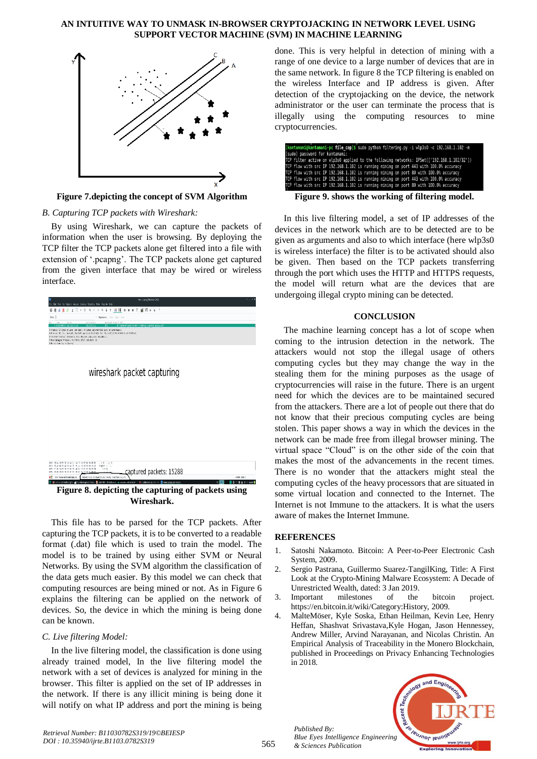#### **AN INTUITIVE WAY TO UNMASK IN-BROWSER CRYPTOJACKING IN NETWORK LEVEL USING SUPPORT VECTOR MACHINE (SVM) IN MACHINE LEARNING**



**Figure 7.depicting the concept of SVM Algorithm**

*B. Capturing TCP packets with Wireshark:*

By using Wireshark, we can capture the packets of information when the user is browsing. By deploying the TCP filter the TCP packets alone get filtered into a file with extension of '.pcapng'. The TCP packets alone get captured from the given interface that may be wired or wireless interface.



**Figure 8. depicting the capturing of packets using Wireshark.**

This file has to be parsed for the TCP packets. After capturing the TCP packets, it is to be converted to a readable format (.dat) file which is used to train the model. The model is to be trained by using either SVM or Neural Networks. By using the SVM algorithm the classification of the data gets much easier. By this model we can check that computing resources are being mined or not. As in Figure 6 explains the filtering can be applied on the network of devices. So, the device in which the mining is being done can be known.

# *C. Live filtering Model:*

In the live filtering model, the classification is done using already trained model, In the live filtering model the network with a set of devices is analyzed for mining in the browser. This filter is applied on the set of IP addresses in the network. If there is any illicit mining is being done it will notify on what IP address and port the mining is being

done. This is very helpful in detection of mining with a range of one device to a large number of devices that are in the same network. In figure 8 the TCP filtering is enabled on the wireless Interface and IP address is given. After detection of the cryptojacking on the device, the network administrator or the user can terminate the process that is illegally using the computing resources to mine cryptocurrencies.

| [kantamani@kantamani-pc file_cap]\$ sudo python filtering.py -i wlp3s0 -c 192.168.1.102 -m<br>[sudo] password for kantamani: |  |  |  |  |  |
|------------------------------------------------------------------------------------------------------------------------------|--|--|--|--|--|
| TCP filter active on wlp3s0 applied to the following networks: IPSet(['192.168.1.102/32'])                                   |  |  |  |  |  |
| TCP flow with src IP 192.168.1.102 is running mining on port 443 with 100.0% accuracy                                        |  |  |  |  |  |
| TCP flow with src IP 192.168.1.102 is running mining on port 80 with 100.0% accuracy                                         |  |  |  |  |  |
| TCP flow with src IP 192.168.1.102 is running mining on port 443 with 100.0% accuracy                                        |  |  |  |  |  |
| TCP flow with src IP 192.168.1.102 is running mining on port 80 with 100.0% accuracy                                         |  |  |  |  |  |
| Figure 9. shows the working of filtering model.                                                                              |  |  |  |  |  |

In this live filtering model, a set of IP addresses of the devices in the network which are to be detected are to be given as arguments and also to which interface (here wlp3s0 is wireless interface) the filter is to be activated should also be given. Then based on the TCP packets transferring through the port which uses the HTTP and HTTPS requests, the model will return what are the devices that are undergoing illegal crypto mining can be detected.

# **CONCLUSION**

The machine learning concept has a lot of scope when coming to the intrusion detection in the network. The attackers would not stop the illegal usage of others computing cycles but they may change the way in the stealing them for the mining purposes as the usage of cryptocurrencies will raise in the future. There is an urgent need for which the devices are to be maintained secured from the attackers. There are a lot of people out there that do not know that their precious computing cycles are being stolen. This paper shows a way in which the devices in the network can be made free from illegal browser mining. The virtual space "Cloud" is on the other side of the coin that makes the most of the advancements in the recent times. There is no wonder that the attackers might steal the computing cycles of the heavy processors that are situated in some virtual location and connected to the Internet. The Internet is not Immune to the attackers. It is what the users aware of makes the Internet Immune.

# **REFERENCES**

*Published By:*

*& Sciences Publication* 

- 1. Satoshi Nakamoto. Bitcoin: A Peer-to-Peer Electronic Cash System, 2009.
- 2. Sergio Pastrana, Guillermo Suarez-TangilKing, Title: A First Look at the Crypto-Mining Malware Ecosystem: A Decade of Unrestricted Wealth, dated: 3 Jan 2019.
- 3. Important milestones of the bitcoin project. https://en.bitcoin.it/wiki/Category:History, 2009.
- 4. MalteMöser, Kyle Soska, Ethan Heilman, Kevin Lee, Henry Heffan, Shashvat Srivastava,Kyle Hogan, Jason Hennessey, Andrew Miller, Arvind Narayanan, and Nicolas Christin. An Empirical Analysis of Traceability in the Monero Blockchain, published in Proceedings on Privacy Enhancing Technologies in 2018.